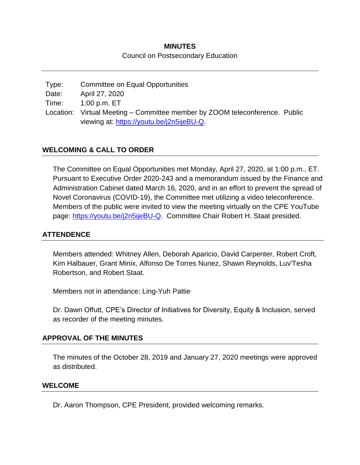# **MINUTES** Council on Postsecondary Education

Type: Committee on Equal Opportunities Date: April 27, 2020 Time: 1:00 p.m. ET Location: Virtual Meeting – Committee member by ZOOM teleconference. Public viewing at: [https://youtu.be/j2n5ijeBU-Q.](https://youtu.be/j2n5ijeBU-Q)

## **WELCOMING & CALL TO ORDER**

The Committee on Equal Opportunities met Monday, April 27, 2020, at 1:00 p.m., ET. Pursuant to Executive Order 2020-243 and a memorandum issued by the Finance and Administration Cabinet dated March 16, 2020, and in an effort to prevent the spread of Novel Coronavirus (COVID-19), the Committee met utilizing a video teleconference. Members of the public were invited to view the meeting virtually on the CPE YouTube page: [https://youtu.be/j2n5ijeBU-Q.](https://youtu.be/j2n5ijeBU-Q) Committee Chair Robert H. Staat presided.

### **ATTENDENCE**

Members attended: Whitney Allen, Deborah Aparicio, David Carpenter, Robert Croft, Kim Halbauer, Grant Minix, Alfonso De Torres Nunez, Shawn Reynolds, Luv'Tesha Robertson, and Robert Staat.

Members not in attendance: Ling-Yuh Pattie

Dr. Dawn Offutt, CPE's Director of Initiatives for Diversity, Equity & Inclusion, served as recorder of the meeting minutes.

### **APPROVAL OF THE MINUTES**

The minutes of the October 28, 2019 and January 27, 2020 meetings were approved as distributed.

#### **WELCOME**

Dr. Aaron Thompson, CPE President, provided welcoming remarks.